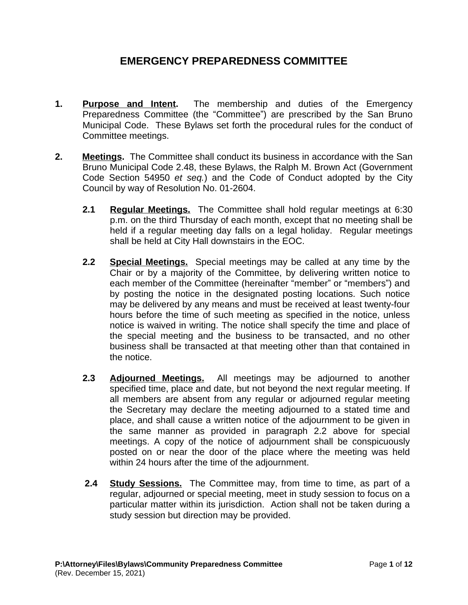# **EMERGENCY PREPAREDNESS COMMITTEE**

- **1. Purpose and Intent.** The membership and duties of the Emergency Preparedness Committee (the "Committee") are prescribed by the San Bruno Municipal Code. These Bylaws set forth the procedural rules for the conduct of Committee meetings.
- **2. Meetings.** The Committee shall conduct its business in accordance with the San Bruno Municipal Code 2.48, these Bylaws, the Ralph M. Brown Act (Government Code Section 54950 *et seq.*) and the Code of Conduct adopted by the City Council by way of Resolution No. 01-2604.
	- **2.1 Regular Meetings.** The Committee shall hold regular meetings at 6:30 p.m. on the third Thursday of each month, except that no meeting shall be held if a regular meeting day falls on a legal holiday. Regular meetings shall be held at City Hall downstairs in the EOC.
	- **2.2 Special Meetings.** Special meetings may be called at any time by the Chair or by a majority of the Committee, by delivering written notice to each member of the Committee (hereinafter "member" or "members") and by posting the notice in the designated posting locations. Such notice may be delivered by any means and must be received at least twenty-four hours before the time of such meeting as specified in the notice, unless notice is waived in writing. The notice shall specify the time and place of the special meeting and the business to be transacted, and no other business shall be transacted at that meeting other than that contained in the notice.
	- **2.3 Adjourned Meetings.** All meetings may be adjourned to another specified time, place and date, but not beyond the next regular meeting. If all members are absent from any regular or adjourned regular meeting the Secretary may declare the meeting adjourned to a stated time and place, and shall cause a written notice of the adjournment to be given in the same manner as provided in paragraph 2.2 above for special meetings. A copy of the notice of adjournment shall be conspicuously posted on or near the door of the place where the meeting was held within 24 hours after the time of the adjournment.
	- **2.4 Study Sessions.** The Committee may, from time to time, as part of a regular, adjourned or special meeting, meet in study session to focus on a particular matter within its jurisdiction. Action shall not be taken during a study session but direction may be provided.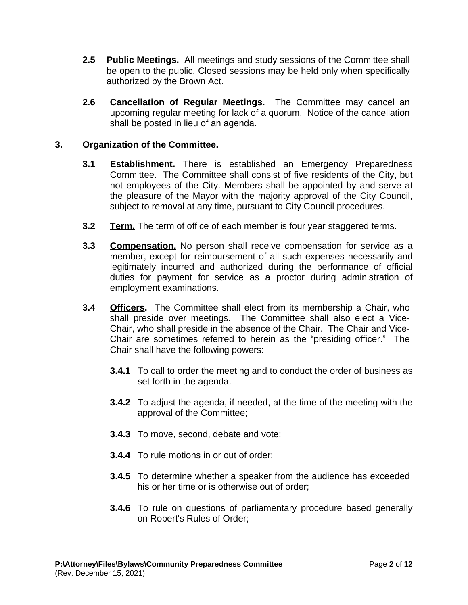- **2.5 Public Meetings.** All meetings and study sessions of the Committee shall be open to the public. Closed sessions may be held only when specifically authorized by the Brown Act.
- **2.6 Cancellation of Regular Meetings.** The Committee may cancel an upcoming regular meeting for lack of a quorum. Notice of the cancellation shall be posted in lieu of an agenda.

### **3. Organization of the Committee.**

- **3.1 Establishment.** There is established an Emergency Preparedness Committee. The Committee shall consist of five residents of the City, but not employees of the City. Members shall be appointed by and serve at the pleasure of the Mayor with the majority approval of the City Council, subject to removal at any time, pursuant to City Council procedures.
- **3.2 Term.** The term of office of each member is four year staggered terms.
- **3.3 Compensation.** No person shall receive compensation for service as a member, except for reimbursement of all such expenses necessarily and legitimately incurred and authorized during the performance of official duties for payment for service as a proctor during administration of employment examinations.
- **3.4 Officers.** The Committee shall elect from its membership a Chair, who shall preside over meetings. The Committee shall also elect a Vice-Chair, who shall preside in the absence of the Chair. The Chair and Vice-Chair are sometimes referred to herein as the "presiding officer." The Chair shall have the following powers:
	- **3.4.1** To call to order the meeting and to conduct the order of business as set forth in the agenda.
	- **3.4.2** To adjust the agenda, if needed, at the time of the meeting with the approval of the Committee;
	- **3.4.3** To move, second, debate and vote;
	- **3.4.4** To rule motions in or out of order;
	- **3.4.5** To determine whether a speaker from the audience has exceeded his or her time or is otherwise out of order;
	- **3.4.6** To rule on questions of parliamentary procedure based generally on Robert's Rules of Order;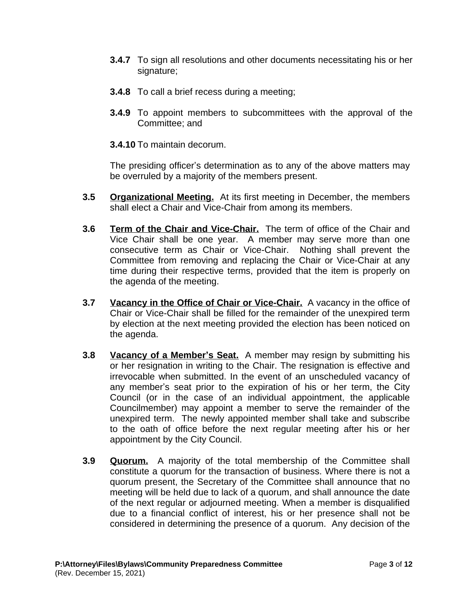- **3.4.7** To sign all resolutions and other documents necessitating his or her signature;
- **3.4.8** To call a brief recess during a meeting;
- **3.4.9** To appoint members to subcommittees with the approval of the Committee; and
- **3.4.10** To maintain decorum.

The presiding officer's determination as to any of the above matters may be overruled by a majority of the members present.

- **3.5 Organizational Meeting.** At its first meeting in December, the members shall elect a Chair and Vice-Chair from among its members.
- **3.6 Term of the Chair and Vice-Chair.** The term of office of the Chair and Vice Chair shall be one year. A member may serve more than one consecutive term as Chair or Vice-Chair. Nothing shall prevent the Committee from removing and replacing the Chair or Vice-Chair at any time during their respective terms, provided that the item is properly on the agenda of the meeting.
- **3.7 Vacancy in the Office of Chair or Vice-Chair.** A vacancy in the office of Chair or Vice-Chair shall be filled for the remainder of the unexpired term by election at the next meeting provided the election has been noticed on the agenda.
- **3.8 Vacancy of a Member's Seat.** A member may resign by submitting his or her resignation in writing to the Chair. The resignation is effective and irrevocable when submitted. In the event of an unscheduled vacancy of any member's seat prior to the expiration of his or her term, the City Council (or in the case of an individual appointment, the applicable Councilmember) may appoint a member to serve the remainder of the unexpired term. The newly appointed member shall take and subscribe to the oath of office before the next regular meeting after his or her appointment by the City Council.
- **3.9 Quorum.** A majority of the total membership of the Committee shall constitute a quorum for the transaction of business. Where there is not a quorum present, the Secretary of the Committee shall announce that no meeting will be held due to lack of a quorum, and shall announce the date of the next regular or adjourned meeting. When a member is disqualified due to a financial conflict of interest, his or her presence shall not be considered in determining the presence of a quorum. Any decision of the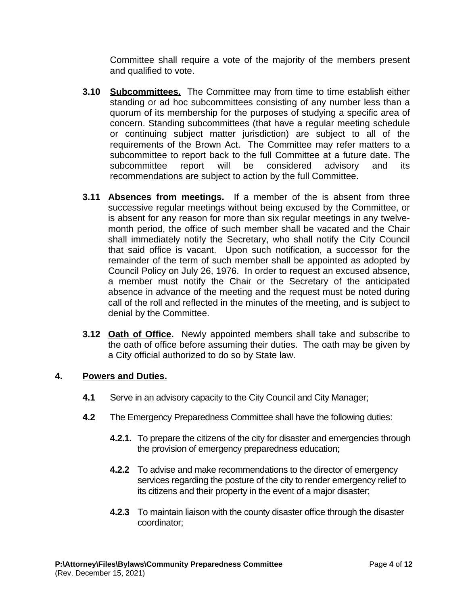Committee shall require a vote of the majority of the members present and qualified to vote.

- **3.10 Subcommittees.** The Committee may from time to time establish either standing or ad hoc subcommittees consisting of any number less than a quorum of its membership for the purposes of studying a specific area of concern. Standing subcommittees (that have a regular meeting schedule or continuing subject matter jurisdiction) are subject to all of the requirements of the Brown Act. The Committee may refer matters to a subcommittee to report back to the full Committee at a future date. The subcommittee report will be considered advisory and its recommendations are subject to action by the full Committee.
- **3.11 Absences from meetings.** If a member of the is absent from three successive regular meetings without being excused by the Committee, or is absent for any reason for more than six regular meetings in any twelvemonth period, the office of such member shall be vacated and the Chair shall immediately notify the Secretary, who shall notify the City Council that said office is vacant. Upon such notification, a successor for the remainder of the term of such member shall be appointed as adopted by Council Policy on July 26, 1976. In order to request an excused absence, a member must notify the Chair or the Secretary of the anticipated absence in advance of the meeting and the request must be noted during call of the roll and reflected in the minutes of the meeting, and is subject to denial by the Committee.
- **3.12 Oath of Office.** Newly appointed members shall take and subscribe to the oath of office before assuming their duties. The oath may be given by a City official authorized to do so by State law.

## **4. Powers and Duties.**

- **4.1** Serve in an advisory capacity to the City Council and City Manager;
- **4.2** The Emergency Preparedness Committee shall have the following duties:
	- **4.2.1.** To prepare the citizens of the city for disaster and emergencies through the provision of emergency preparedness education;
	- **4.2.2** To advise and make recommendations to the director of emergency services regarding the posture of the city to render emergency relief to its citizens and their property in the event of a major disaster;
	- **4.2.3** To maintain liaison with the county disaster office through the disaster coordinator;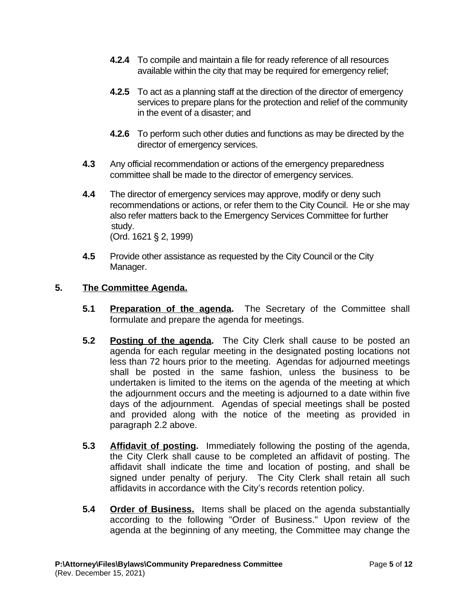- **4.2.4** To compile and maintain a file for ready reference of all resources available within the city that may be required for emergency relief;
- **4.2.5** To act as a planning staff at the direction of the director of emergency services to prepare plans for the protection and relief of the community in the event of a disaster; and
- **4.2.6** To perform such other duties and functions as may be directed by the director of emergency services.
- **4.3** Any official recommendation or actions of the emergency preparedness committee shall be made to the director of emergency services.
- **4.4** The director of emergency services may approve, modify or deny such recommendations or actions, or refer them to the City Council. He or she may also refer matters back to the Emergency Services Committee for further study. (Ord. 1621 § 2, 1999)
- **4.5** Provide other assistance as requested by the City Council or the City Manager.

## **5. The Committee Agenda.**

- **5.1 Preparation of the agenda.** The Secretary of the Committee shall formulate and prepare the agenda for meetings.
- **5.2 Posting of the agenda.** The City Clerk shall cause to be posted an agenda for each regular meeting in the designated posting locations not less than 72 hours prior to the meeting. Agendas for adjourned meetings shall be posted in the same fashion, unless the business to be undertaken is limited to the items on the agenda of the meeting at which the adjournment occurs and the meeting is adjourned to a date within five days of the adjournment. Agendas of special meetings shall be posted and provided along with the notice of the meeting as provided in paragraph 2.2 above.
- **5.3 Affidavit of posting.** Immediately following the posting of the agenda, the City Clerk shall cause to be completed an affidavit of posting. The affidavit shall indicate the time and location of posting, and shall be signed under penalty of perjury. The City Clerk shall retain all such affidavits in accordance with the City's records retention policy.
- **5.4 Order of Business.** Items shall be placed on the agenda substantially according to the following "Order of Business." Upon review of the agenda at the beginning of any meeting, the Committee may change the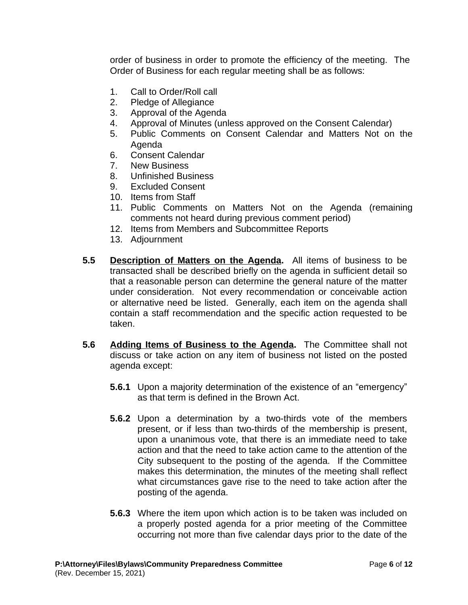order of business in order to promote the efficiency of the meeting. The Order of Business for each regular meeting shall be as follows:

- 1. Call to Order/Roll call
- 2. Pledge of Allegiance
- 3. Approval of the Agenda
- 4. Approval of Minutes (unless approved on the Consent Calendar)
- 5. Public Comments on Consent Calendar and Matters Not on the Agenda
- 6. Consent Calendar
- 7. New Business
- 8. Unfinished Business
- 9. Excluded Consent
- 10. Items from Staff
- 11. Public Comments on Matters Not on the Agenda (remaining comments not heard during previous comment period)
- 12. Items from Members and Subcommittee Reports
- 13. Adjournment
- **5.5 Description of Matters on the Agenda.** All items of business to be transacted shall be described briefly on the agenda in sufficient detail so that a reasonable person can determine the general nature of the matter under consideration. Not every recommendation or conceivable action or alternative need be listed. Generally, each item on the agenda shall contain a staff recommendation and the specific action requested to be taken.
- **5.6 Adding Items of Business to the Agenda.** The Committee shall not discuss or take action on any item of business not listed on the posted agenda except:
	- **5.6.1** Upon a majority determination of the existence of an "emergency" as that term is defined in the Brown Act.
	- **5.6.2** Upon a determination by a two-thirds vote of the members present, or if less than two-thirds of the membership is present, upon a unanimous vote, that there is an immediate need to take action and that the need to take action came to the attention of the City subsequent to the posting of the agenda. If the Committee makes this determination, the minutes of the meeting shall reflect what circumstances gave rise to the need to take action after the posting of the agenda.
	- **5.6.3** Where the item upon which action is to be taken was included on a properly posted agenda for a prior meeting of the Committee occurring not more than five calendar days prior to the date of the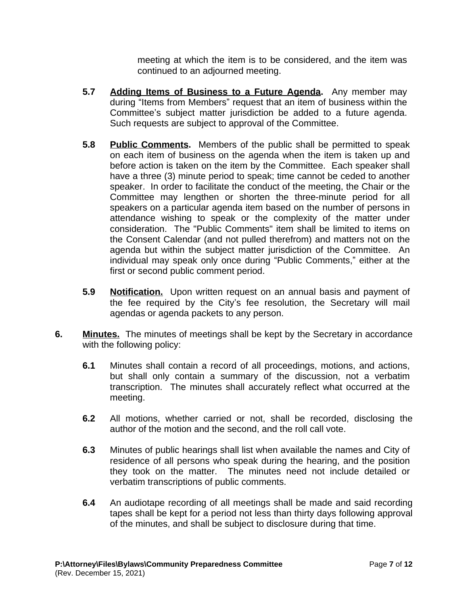meeting at which the item is to be considered, and the item was continued to an adjourned meeting.

- **5.7 Adding Items of Business to a Future Agenda.** Any member may during "Items from Members" request that an item of business within the Committee's subject matter jurisdiction be added to a future agenda. Such requests are subject to approval of the Committee.
- **5.8 Public Comments.** Members of the public shall be permitted to speak on each item of business on the agenda when the item is taken up and before action is taken on the item by the Committee. Each speaker shall have a three (3) minute period to speak; time cannot be ceded to another speaker. In order to facilitate the conduct of the meeting, the Chair or the Committee may lengthen or shorten the three-minute period for all speakers on a particular agenda item based on the number of persons in attendance wishing to speak or the complexity of the matter under consideration. The "Public Comments" item shall be limited to items on the Consent Calendar (and not pulled therefrom) and matters not on the agenda but within the subject matter jurisdiction of the Committee. An individual may speak only once during "Public Comments," either at the first or second public comment period.
- **5.9 Notification.** Upon written request on an annual basis and payment of the fee required by the City's fee resolution, the Secretary will mail agendas or agenda packets to any person.
- **6. Minutes.** The minutes of meetings shall be kept by the Secretary in accordance with the following policy:
	- **6.1** Minutes shall contain a record of all proceedings, motions, and actions, but shall only contain a summary of the discussion, not a verbatim transcription. The minutes shall accurately reflect what occurred at the meeting.
	- **6.2** All motions, whether carried or not, shall be recorded, disclosing the author of the motion and the second, and the roll call vote.
	- **6.3** Minutes of public hearings shall list when available the names and City of residence of all persons who speak during the hearing, and the position they took on the matter. The minutes need not include detailed or verbatim transcriptions of public comments.
	- **6.4** An audiotape recording of all meetings shall be made and said recording tapes shall be kept for a period not less than thirty days following approval of the minutes, and shall be subject to disclosure during that time.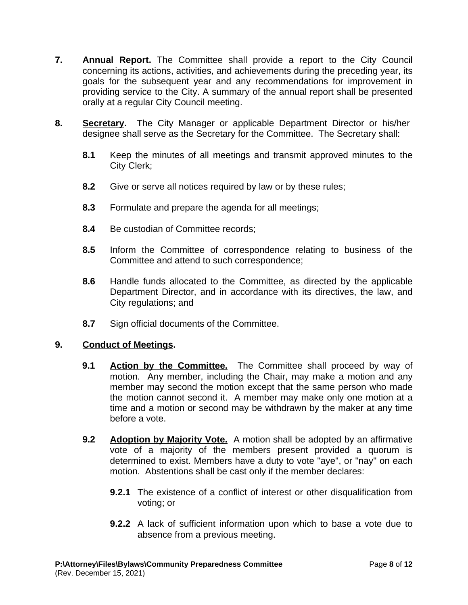- **7. Annual Report.** The Committee shall provide a report to the City Council concerning its actions, activities, and achievements during the preceding year, its goals for the subsequent year and any recommendations for improvement in providing service to the City. A summary of the annual report shall be presented orally at a regular City Council meeting.
- **8. Secretary.** The City Manager or applicable Department Director or his/her designee shall serve as the Secretary for the Committee. The Secretary shall:
	- **8.1** Keep the minutes of all meetings and transmit approved minutes to the City Clerk;
	- **8.2** Give or serve all notices required by law or by these rules;
	- **8.3** Formulate and prepare the agenda for all meetings;
	- **8.4** Be custodian of Committee records;
	- **8.5** Inform the Committee of correspondence relating to business of the Committee and attend to such correspondence;
	- **8.6** Handle funds allocated to the Committee, as directed by the applicable Department Director, and in accordance with its directives, the law, and City regulations; and
	- **8.7** Sign official documents of the Committee.

#### **9. Conduct of Meetings.**

- **9.1 Action by the Committee.** The Committee shall proceed by way of motion. Any member, including the Chair, may make a motion and any member may second the motion except that the same person who made the motion cannot second it. A member may make only one motion at a time and a motion or second may be withdrawn by the maker at any time before a vote.
- **9.2 Adoption by Majority Vote.** A motion shall be adopted by an affirmative vote of a majority of the members present provided a quorum is determined to exist. Members have a duty to vote "aye", or "nay" on each motion. Abstentions shall be cast only if the member declares:
	- **9.2.1** The existence of a conflict of interest or other disqualification from voting; or
	- **9.2.2** A lack of sufficient information upon which to base a vote due to absence from a previous meeting.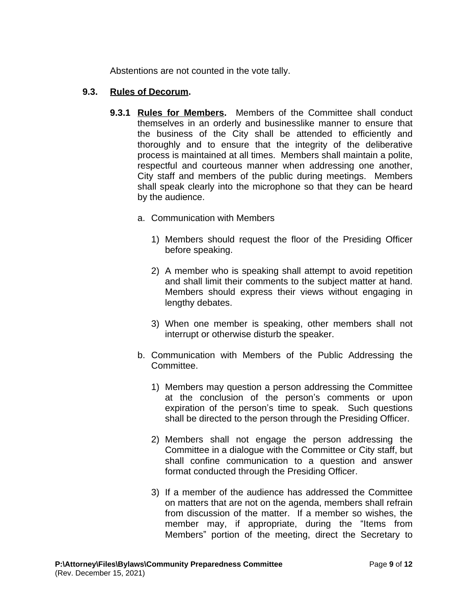Abstentions are not counted in the vote tally.

#### **9.3. Rules of Decorum.**

- **9.3.1 Rules for Members.** Members of the Committee shall conduct themselves in an orderly and businesslike manner to ensure that the business of the City shall be attended to efficiently and thoroughly and to ensure that the integrity of the deliberative process is maintained at all times. Members shall maintain a polite, respectful and courteous manner when addressing one another, City staff and members of the public during meetings. Members shall speak clearly into the microphone so that they can be heard by the audience.
	- a. Communication with Members
		- 1) Members should request the floor of the Presiding Officer before speaking.
		- 2) A member who is speaking shall attempt to avoid repetition and shall limit their comments to the subject matter at hand. Members should express their views without engaging in lengthy debates.
		- 3) When one member is speaking, other members shall not interrupt or otherwise disturb the speaker.
	- b. Communication with Members of the Public Addressing the Committee.
		- 1) Members may question a person addressing the Committee at the conclusion of the person's comments or upon expiration of the person's time to speak. Such questions shall be directed to the person through the Presiding Officer.
		- 2) Members shall not engage the person addressing the Committee in a dialogue with the Committee or City staff, but shall confine communication to a question and answer format conducted through the Presiding Officer.
		- 3) If a member of the audience has addressed the Committee on matters that are not on the agenda, members shall refrain from discussion of the matter. If a member so wishes, the member may, if appropriate, during the "Items from Members" portion of the meeting, direct the Secretary to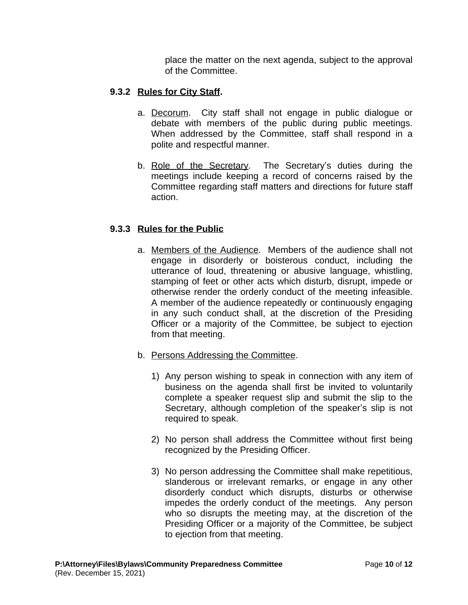place the matter on the next agenda, subject to the approval of the Committee.

### **9.3.2 Rules for City Staff.**

- a. Decorum. City staff shall not engage in public dialogue or debate with members of the public during public meetings. When addressed by the Committee, staff shall respond in a polite and respectful manner.
- b. Role of the Secretary. The Secretary's duties during the meetings include keeping a record of concerns raised by the Committee regarding staff matters and directions for future staff action.

## **9.3.3 Rules for the Public**

- a. Members of the Audience. Members of the audience shall not engage in disorderly or boisterous conduct, including the utterance of loud, threatening or abusive language, whistling, stamping of feet or other acts which disturb, disrupt, impede or otherwise render the orderly conduct of the meeting infeasible. A member of the audience repeatedly or continuously engaging in any such conduct shall, at the discretion of the Presiding Officer or a majority of the Committee, be subject to ejection from that meeting.
- b. Persons Addressing the Committee.
	- 1) Any person wishing to speak in connection with any item of business on the agenda shall first be invited to voluntarily complete a speaker request slip and submit the slip to the Secretary, although completion of the speaker's slip is not required to speak.
	- 2) No person shall address the Committee without first being recognized by the Presiding Officer.
	- 3) No person addressing the Committee shall make repetitious, slanderous or irrelevant remarks, or engage in any other disorderly conduct which disrupts, disturbs or otherwise impedes the orderly conduct of the meetings. Any person who so disrupts the meeting may, at the discretion of the Presiding Officer or a majority of the Committee, be subject to ejection from that meeting.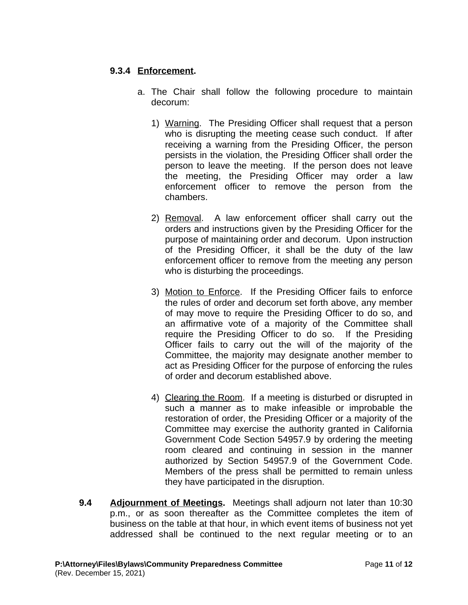### **9.3.4 Enforcement.**

- a. The Chair shall follow the following procedure to maintain decorum:
	- 1) Warning. The Presiding Officer shall request that a person who is disrupting the meeting cease such conduct. If after receiving a warning from the Presiding Officer, the person persists in the violation, the Presiding Officer shall order the person to leave the meeting. If the person does not leave the meeting, the Presiding Officer may order a law enforcement officer to remove the person from the chambers.
	- 2) Removal. A law enforcement officer shall carry out the orders and instructions given by the Presiding Officer for the purpose of maintaining order and decorum. Upon instruction of the Presiding Officer, it shall be the duty of the law enforcement officer to remove from the meeting any person who is disturbing the proceedings.
	- 3) Motion to Enforce. If the Presiding Officer fails to enforce the rules of order and decorum set forth above, any member of may move to require the Presiding Officer to do so, and an affirmative vote of a majority of the Committee shall require the Presiding Officer to do so. If the Presiding Officer fails to carry out the will of the majority of the Committee, the majority may designate another member to act as Presiding Officer for the purpose of enforcing the rules of order and decorum established above.
	- 4) Clearing the Room. If a meeting is disturbed or disrupted in such a manner as to make infeasible or improbable the restoration of order, the Presiding Officer or a majority of the Committee may exercise the authority granted in California Government Code Section 54957.9 by ordering the meeting room cleared and continuing in session in the manner authorized by Section 54957.9 of the Government Code. Members of the press shall be permitted to remain unless they have participated in the disruption.
- **9.4 Adjournment of Meetings.** Meetings shall adjourn not later than 10:30 p.m., or as soon thereafter as the Committee completes the item of business on the table at that hour, in which event items of business not yet addressed shall be continued to the next regular meeting or to an